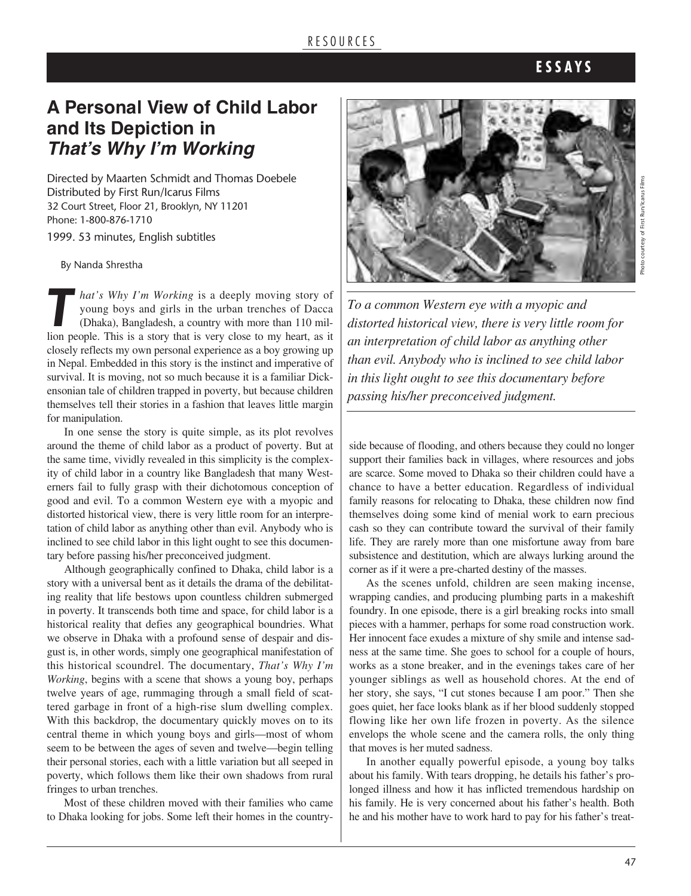#### R E S O U R C E S

## **E S S A Y S**

# **a Personal View of Child labor and Its Depiction in** *That's Why I'm Working*

Directed by Maarten Schmidt and Thomas Doebele Distributed by First Run/Icarus Films 32 Court Street, Floor 21, Brooklyn, NY 11201 Phone: 1-800-876-1710

1999. 53 minutes, English subtitles

By Nanda Shrestha

*That's Why I'm Working* is a deeply moving story of young boys and girls in the urban trenches of Dacca (Dhaka), Bangladesh, a country with more than 110 million people. This is a story that is very close to my heart as i young boys and girls in the urban trenches of Dacca (Dhaka), Bangladesh, a country with more than 110 million people. This is a story that is very close to my heart, as it closely reflects my own personal experience as a boy growing up in Nepal. Embedded in this story is the instinct and imperative of survival. It is moving, not so much because it is a familiar Dickensonian tale of children trapped in poverty, but because children themselves tell their stories in a fashion that leaves little margin for manipulation.

In one sense the story is quite simple, as its plot revolves around the theme of child labor as a product of poverty. But at the same time, vividly revealed in this simplicity is the complexity of child labor in a country like Bangladesh that many Westerners fail to fully grasp with their dichotomous conception of good and evil. To a common Western eye with a myopic and distorted historical view, there is very little room for an interpretation of child labor as anything other than evil. Anybody who is inclined to see child labor in this light ought to see this documentary before passing his/her preconceived judgment.

Although geographically confined to Dhaka, child labor is a story with a universal bent as it details the drama of the debilitating reality that life bestows upon countless children submerged in poverty. It transcends both time and space, for child labor is a historical reality that defies any geographical boundries. What we observe in Dhaka with a profound sense of despair and disgust is, in other words, simply one geographical manifestation of this historical scoundrel. The documentary, *That's Why I'm Working*, begins with a scene that shows a young boy, perhaps twelve years of age, rummaging through a small field of scattered garbage in front of a high-rise slum dwelling complex. With this backdrop, the documentary quickly moves on to its central theme in which young boys and girls—most of whom seem to be between the ages of seven and twelve—begin telling their personal stories, each with a little variation but all seeped in poverty, which follows them like their own shadows from rural fringes to urban trenches.

Most of these children moved with their families who came to Dhaka looking for jobs. Some left their homes in the country-



*To a common Western eye with a myopic and distorted historical view, there is very little room for an interpretation of child labor as anything other than evil. Anybody who is inclined to see child labor in this light ought to see this documentary before passing his/her preconceived judgment.*

side because of flooding, and others because they could no longer support their families back in villages, where resources and jobs are scarce. Some moved to Dhaka so their children could have a chance to have a better education. Regardless of individual family reasons for relocating to Dhaka, these children now find themselves doing some kind of menial work to earn precious cash so they can contribute toward the survival of their family life. They are rarely more than one misfortune away from bare subsistence and destitution, which are always lurking around the corner as if it were a pre-charted destiny of the masses.

As the scenes unfold, children are seen making incense, wrapping candies, and producing plumbing parts in a makeshift foundry. In one episode, there is a girl breaking rocks into small pieces with a hammer, perhaps for some road construction work. Her innocent face exudes a mixture of shy smile and intense sadness at the same time. She goes to school for a couple of hours, works as a stone breaker, and in the evenings takes care of her younger siblings as well as household chores. At the end of her story, she says, "I cut stones because I am poor." Then she goes quiet, her face looks blank as if her blood suddenly stopped flowing like her own life frozen in poverty. As the silence envelops the whole scene and the camera rolls, the only thing that moves is her muted sadness.

In another equally powerful episode, a young boy talks about his family. With tears dropping, he details his father's prolonged illness and how it has inflicted tremendous hardship on his family. He is very concerned about his father's health. Both he and his mother have to work hard to pay for his father's treat-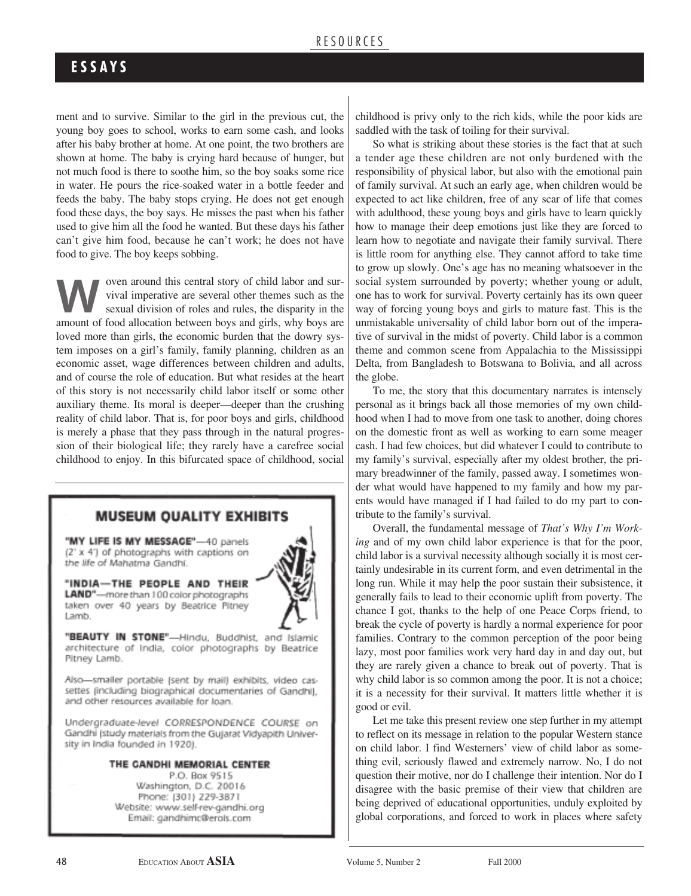### **E S S A Y S**

ment and to survive. Similar to the girl in the previous cut, the young boy goes to school, works to earn some cash, and looks after his baby brother at home. At one point, the two brothers are shown at home. The baby is crying hard because of hunger, but not much food is there to soothe him, so the boy soaks some rice in water. He pours the rice-soaked water in a bottle feeder and feeds the baby. The baby stops crying. He does not get enough food these days, the boy says. He misses the past when his father used to give him all the food he wanted. But these days his father can't give him food, because he can't work; he does not have food to give. The boy keeps sobbing.

woren around this central story of child labor and survival imperative are several other themes such as the sexual division of roles and rules, the disparity in the amount of food allocation between beys and citle, why bey vival imperative are several other themes such as the amount of food allocation between boys and girls, why boys are loved more than girls, the economic burden that the dowry system imposes on a girl's family, family planning, children as an economic asset, wage differences between children and adults, and of course the role of education. But what resides at the heart of this story is not necessarily child labor itself or some other auxiliary theme. Its moral is deeper—deeper than the crushing reality of child labor. That is, for poor boys and girls, childhood is merely a phase that they pass through in the natural progression of their biological life; they rarely have a carefree social childhood to enjoy. In this bifurcated space of childhood, social

#### **MUSEUM QUALITY EXHIBITS**

"MY LIFE IS MY MESSAGE"-40 panels (2" x 4") of photographs with captions on the life of Mahatma Gandhi.

#### "INDIA-THE PEOPLE AND THEIR LAND"-more than 100 color photographs

taken over 40 years by Beatrice Pitney Lamb.

"BEAUTY IN STONE"-Hindu, Buddhist, and Islamic architecture of India, color photographs by Beatrice Pitney Lamb.

Also-smaller portable (sent by mail) exhibits, video cassettes (including biographical documentaries of Gandhi), and other resources available for loan.

Undergraduate-level CORRESPONDENCE COURSE on Gandhi (study materials from the Gujarat Vidyapith University in India founded in 1920).

#### THE CANDHI MEMORIAL CENTER

P.O. Box 9515 Washington, D.C. 20016 Phone: (301) 229-3871 Website: www.self-rev-gandhi.org Email: gandhimc@erols.com

childhood is privy only to the rich kids, while the poor kids are saddled with the task of toiling for their survival.

So what is striking about these stories is the fact that at such a tender age these children are not only burdened with the responsibility of physical labor, but also with the emotional pain of family survival. At such an early age, when children would be expected to act like children, free of any scar of life that comes with adulthood, these young boys and girls have to learn quickly how to manage their deep emotions just like they are forced to learn how to negotiate and navigate their family survival. There is little room for anything else. They cannot afford to take time to grow up slowly. One's age has no meaning whatsoever in the social system surrounded by poverty; whether young or adult, one has to work for survival. Poverty certainly has its own queer way of forcing young boys and girls to mature fast. This is the unmistakable universality of child labor born out of the imperative of survival in the midst of poverty. Child labor is a common theme and common scene from Appalachia to the Mississippi Delta, from Bangladesh to Botswana to Bolivia, and all across the globe.

To me, the story that this documentary narrates is intensely personal as it brings back all those memories of my own childhood when I had to move from one task to another, doing chores on the domestic front as well as working to earn some meager cash. I had few choices, but did whatever I could to contribute to my family's survival, especially after my oldest brother, the primary breadwinner of the family, passed away. I sometimes wonder what would have happened to my family and how my parents would have managed if I had failed to do my part to contribute to the family's survival.

Overall, the fundamental message of *That's Why I'm Working* and of my own child labor experience is that for the poor, child labor is a survival necessity although socially it is most certainly undesirable in its current form, and even detrimental in the long run. While it may help the poor sustain their subsistence, it generally fails to lead to their economic uplift from poverty. The chance I got, thanks to the help of one Peace Corps friend, to break the cycle of poverty is hardly a normal experience for poor families. Contrary to the common perception of the poor being lazy, most poor families work very hard day in and day out, but they are rarely given a chance to break out of poverty. That is why child labor is so common among the poor. It is not a choice; it is a necessity for their survival. It matters little whether it is good or evil.

Let me take this present review one step further in my attempt to reflect on its message in relation to the popular Western stance on child labor. I find Westerners' view of child labor as something evil, seriously flawed and extremely narrow. No, I do not question their motive, nor do I challenge their intention. Nor do I disagree with the basic premise of their view that children are being deprived of educational opportunities, unduly exploited by global corporations, and forced to work in places where safety